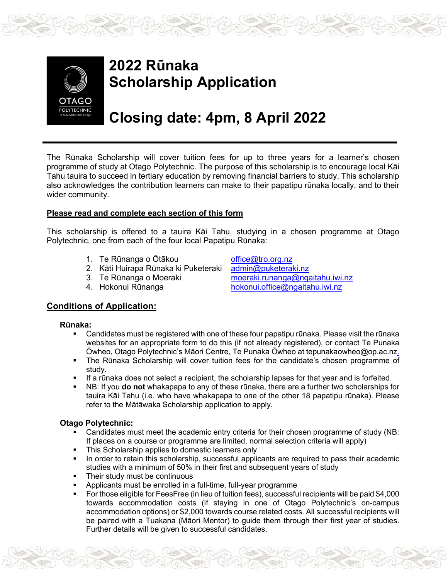

# **2022 Rūnaka Scholarship Application**

# **Closing date: 4pm, 8 April 2022**

The Rūnaka Scholarship will cover tuition fees for up to three years for a learner's chosen programme of study at Otago Polytechnic. The purpose of this scholarship is to encourage local Kāi Tahu tauira to succeed in tertiary education by removing financial barriers to study. This scholarship also acknowledges the contribution learners can make to their papatipu rūnaka locally, and to their wider community.

#### **Please read and complete each section of this form**

This scholarship is offered to a tauira Kāi Tahu, studying in a chosen programme at Otago Polytechnic, one from each of the four local Papatipu Rūnaka:

- 
- 2. Kāti Huirapa Rūnaka ki Puketeraki<br>3. Te Rūnanga o Moeraki
- 
- 

1. Te Rūnanga o Ōtākou [office@tro.org.nz](mailto:office@tro.org.nz)<br>2. Kāti Huirapa Rūnaka ki Puketeraki admin@puketeraki.nz [moeraki.runanga@ngaitahu.iwi.nz](mailto:moeraki.runanga@ngaitahu.iwi.nz) 4. Hokonui Rūnanga [hokonui.office@ngaitahu.iwi.nz](mailto:hokonui.office@ngaitahu.iwi.nz)

### **Conditions of Application:**

#### **Rūnaka:**

- Candidates must be registered with one of these four papatipu rūnaka. Please visit the rūnaka websites for an appropriate form to do this (if not already registered), or contact Te Punaka Ōwheo, Otago Polytechnic's Māori Centre, Te Punaka Ōwheo at tepunakaowheo@op.ac.nz.
- The Rūnaka Scholarship will cover tuition fees for the candidate's chosen programme of study.
- If a rūnaka does not select a recipient, the scholarship lapses for that year and is forfeited.
- NB: If you **do not** whakapapa to any of these rūnaka, there are a further two scholarships for tauira Kāi Tahu (i.e. who have whakapapa to one of the other 18 papatipu rūnaka). Please refer to the Mātāwaka Scholarship application to apply.

#### **Otago Polytechnic:**

- Candidates must meet the academic entry criteria for their chosen programme of study (NB: If places on a course or programme are limited, normal selection criteria will apply)
- This Scholarship applies to domestic learners only
- In order to retain this scholarship, successful applicants are required to pass their academic studies with a minimum of 50% in their first and subsequent years of study
- Their study must be continuous
- Applicants must be enrolled in a full-time, full-year programme
- For those eligible for FeesFree (in lieu of tuition fees), successful recipients will be paid \$4,000 towards accommodation costs (if staying in one of Otago Polytechnic's on-campus accommodation options) or \$2,000 towards course related costs. All successful recipients will be paired with a Tuakana (Māori Mentor) to guide them through their first year of studies. Further details will be given to successful candidates.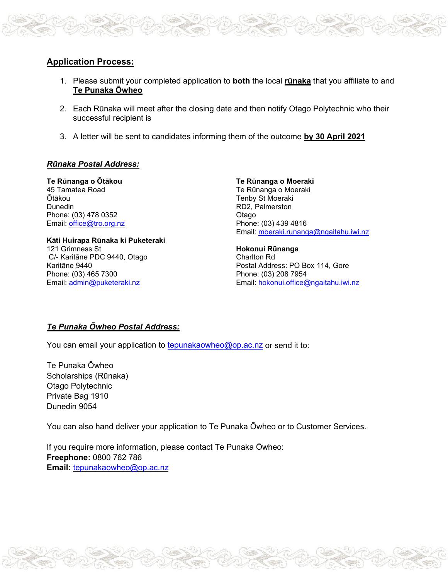

- 1. Please submit your completed application to **both** the local **rūnaka** that you affiliate to and **Te Punaka Ōwheo**
- 2. Each Rūnaka will meet after the closing date and then notify Otago Polytechnic who their successful recipient is
- 3. A letter will be sent to candidates informing them of the outcome **by 30 April 2021**

#### *Rūnaka Postal Address:*

**Te Rūnanga o Ōtākou** 45 Tamatea Road Ōtākou **Dunedin** Phone: (03) 478 0352 Email: [office@tro.org.nz](mailto:office@tro.org.nz)

**Kāti Huirapa Rūnaka ki Puketeraki** 121 Grimness St C/- Karitāne PDC 9440, Otago Karitāne 9440 Phone: (03) 465 7300 Email: [admin@puketeraki.nz](mailto:admin@puketeraki.nz)

**Te Rūnanga o Moeraki** Te Rūnanga o Moeraki Tenby St Moeraki RD2, Palmerston Otago Phone: (03) 439 4816 Email: [moeraki.runanga@ngaitahu.iwi.nz](mailto:moeraki.runanga@ngaitahu.iwi.nz)

**Hokonui Rūnanga** Charlton Rd Postal Address: PO Box 114, Gore Phone: (03) 208 7954 Email: [hokonui.office@ngaitahu.iwi.nz](mailto:hokonui.office@ngaitahu.iwi.nz)

#### *Te Punaka Ōwheo Postal Address:*

You can email your application to [tepunakaowheo@op.ac.nz](mailto:tepunakaowheo@op.ac.nz) or send it to:

Te Punaka Ōwheo Scholarships (Rūnaka) Otago Polytechnic Private Bag 1910 Dunedin 9054

You can also hand deliver your application to Te Punaka Ōwheo or to Customer Services.

If you require more information, please contact Te Punaka Ōwheo: **Freephone:** 0800 762 786 **Email:** [tepunakaowheo@op.ac.nz](mailto:tepunakaowheo@op.ac.nz)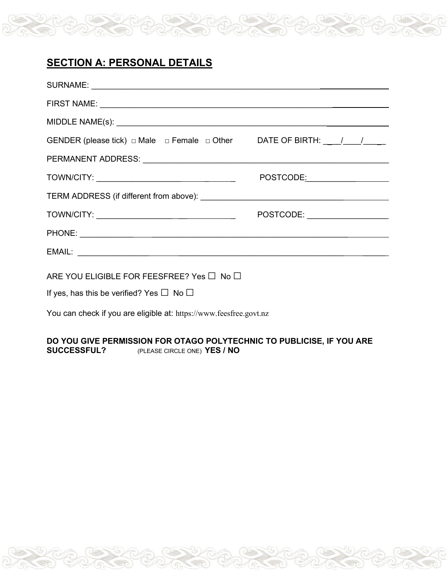## **SECTION A: PERSONAL DETAILS**

| GENDER (please tick) $\Box$ Male $\Box$ Female $\Box$ Other DATE OF BIRTH: $\angle$ / / / |  |
|-------------------------------------------------------------------------------------------|--|
|                                                                                           |  |
|                                                                                           |  |
|                                                                                           |  |
|                                                                                           |  |
|                                                                                           |  |
|                                                                                           |  |
| ARE YOU ELIGIBLE FOR FEESFREE? Yes $\Box$ No $\Box$                                       |  |
| If yes, has this be verified? Yes $\Box$ No $\Box$                                        |  |
| You can check if you are eligible at: https://www.feesfree.govt.nz                        |  |

### **DO YOU GIVE PERMISSION FOR OTAGO POLYTECHNIC TO PUBLICISE, IF YOU ARE SUCCESSFUL?** (PLEASE CIRCLE ONE) **YES** / NO **SUCCESSFUL?** (PLEASE CIRCLE ONE) **YES / NO**

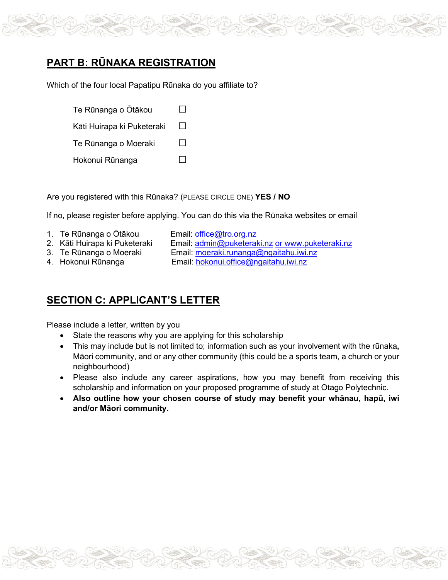

## **PART B: RŪNAKA REGISTRATION**

Which of the four local Papatipu Rūnaka do you affiliate to?

| Te Rūnanga o Ōtākou        |              |
|----------------------------|--------------|
| Kāti Huirapa ki Puketeraki | $\mathbf{I}$ |
| Te Rūnanga o Moeraki       | $\mathsf{L}$ |
| Hokonui Rūnanga            |              |

Are you registered with this Rūnaka? (PLEASE CIRCLE ONE) **YES / NO**

If no, please register before applying. You can do this via the Rūnaka websites or email

- 
- 
- 1. Te Rūnanga o Ōtākou Email: [office@tro.org.nz](mailto:office@tro.org.nz) Email: [admin@puketeraki.nz](mailto:admin@puketeraki.nz) or [www.puketeraki.nz](http://www.puketeraki.nz/)
- 3. Te Rūnanga o Moeraki Email: [moeraki.runanga@ngaitahu.iwi.nz](mailto:moeraki.runanga@ngaitahu.iwi.nz)
	-
- 4. Hokonui Rūnanga Email: [hokonui.office@ngaitahu.iwi.nz](mailto:hokonui.office@ngaitahu.iwi.nz)

## **SECTION C: APPLICANT'S LETTER**

Please include a letter, written by you

- State the reasons why you are applying for this scholarship
- This may include but is not limited to; information such as your involvement with the rūnaka**,** Māori community, and or any other community (this could be a sports team, a church or your neighbourhood)
- Please also include any career aspirations, how you may benefit from receiving this scholarship and information on your proposed programme of study at Otago Polytechnic.
- **Also outline how your chosen course of study may benefit your whānau, hapū, iwi and/or Māori community.**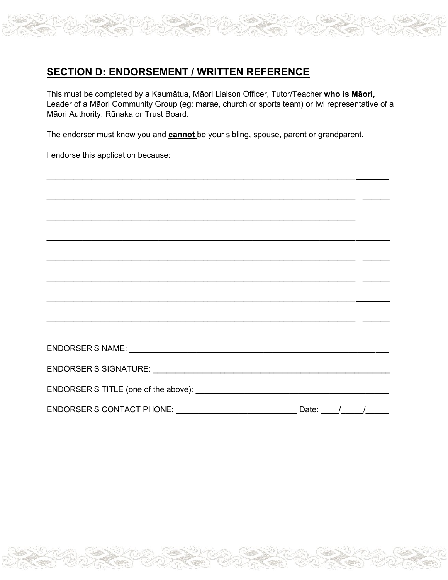## **SECTION D: ENDORSEMENT / WRITTEN REFERENCE**

This must be completed by a Kaumātua, Māori Liaison Officer, Tutor/Teacher **who is Māori,** Leader of a Māori Community Group (eg: marae, church or sports team) or Iwi representative of a Māori Authority, Rūnaka or Trust Board.

The endorser must know you and **cannot** be your sibling, spouse, parent or grandparent.

I endorse this application because:

| ,他们的人们也不会不会不会。""我们的人们,我们也不会不会不会不会不会不会不会。""我们的人们,我们也不会不会不会不会不会不会。""我们的人们,我们也不会不会不 |  |
|----------------------------------------------------------------------------------|--|
|                                                                                  |  |
|                                                                                  |  |
|                                                                                  |  |
|                                                                                  |  |
|                                                                                  |  |
|                                                                                  |  |
|                                                                                  |  |
| Date: $/$ /<br><b>ENDORSER'S CONTACT PHONE:</b>                                  |  |